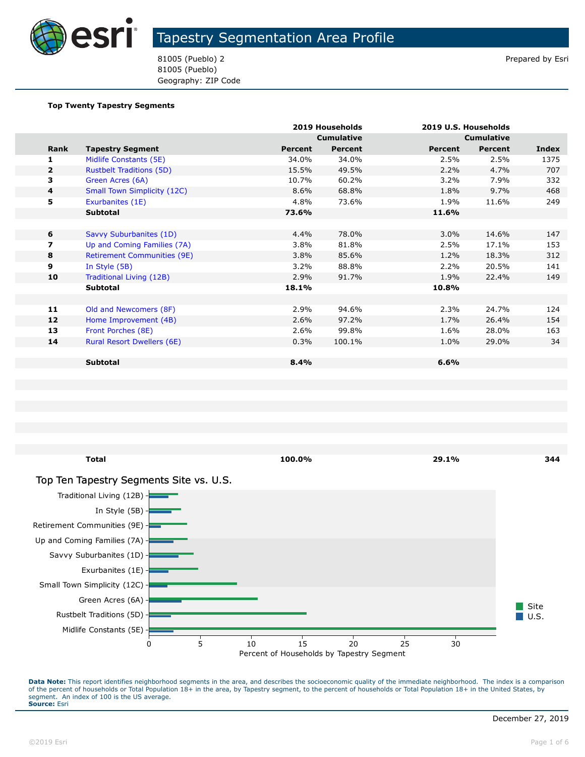

81005 (Pueblo) 2 Prepared by Esri 81005 (Pueblo) Geography: ZIP Code

#### **Top Twenty Tapestry Segments**

|              |                                    |         | 2019 Households   |                | 2019 U.S. Households |              |
|--------------|------------------------------------|---------|-------------------|----------------|----------------------|--------------|
|              |                                    |         | <b>Cumulative</b> |                | <b>Cumulative</b>    |              |
| Rank         | <b>Tapestry Segment</b>            | Percent | <b>Percent</b>    | <b>Percent</b> | Percent              | <b>Index</b> |
| 1            | Midlife Constants (5E)             | 34.0%   | 34.0%             | 2.5%           | 2.5%                 | 1375         |
| $\mathbf{2}$ | <b>Rustbelt Traditions (5D)</b>    | 15.5%   | 49.5%             | 2.2%           | 4.7%                 | 707          |
| 3            | Green Acres (6A)                   | 10.7%   | 60.2%             | 3.2%           | 7.9%                 | 332          |
| 4            | <b>Small Town Simplicity (12C)</b> | 8.6%    | 68.8%             | 1.8%           | 9.7%                 | 468          |
| 5            | Exurbanites (1E)                   | 4.8%    | 73.6%             | 1.9%           | 11.6%                | 249          |
|              | <b>Subtotal</b>                    | 73.6%   |                   | 11.6%          |                      |              |
|              |                                    |         |                   |                |                      |              |
| 6            | Savvy Suburbanites (1D)            | 4.4%    | 78.0%             | 3.0%           | 14.6%                | 147          |
| 7            | Up and Coming Families (7A)        | 3.8%    | 81.8%             | 2.5%           | 17.1%                | 153          |
| 8            | <b>Retirement Communities (9E)</b> | 3.8%    | 85.6%             | 1.2%           | 18.3%                | 312          |
| 9            | In Style (5B)                      | 3.2%    | 88.8%             | 2.2%           | 20.5%                | 141          |
| 10           | Traditional Living (12B)           | 2.9%    | 91.7%             | 1.9%           | 22.4%                | 149          |
|              | <b>Subtotal</b>                    | 18.1%   |                   | 10.8%          |                      |              |
|              |                                    |         |                   |                |                      |              |
| 11           | Old and Newcomers (8F)             | 2.9%    | 94.6%             | 2.3%           | 24.7%                | 124          |
| 12           | Home Improvement (4B)              | 2.6%    | 97.2%             | 1.7%           | 26.4%                | 154          |
| 13           | Front Porches (8E)                 | 2.6%    | 99.8%             | 1.6%           | 28.0%                | 163          |
| 14           | <b>Rural Resort Dwellers (6E)</b>  | 0.3%    | 100.1%            | 1.0%           | 29.0%                | 34           |
|              |                                    |         |                   |                |                      |              |
|              | <b>Subtotal</b>                    | 8.4%    |                   | 6.6%           |                      |              |
|              |                                    |         |                   |                |                      |              |



Data Note: This report identifies neighborhood segments in the area, and describes the socioeconomic quality of the immediate neighborhood. The index is a comparison of the percent of households or Total Population 18+ in the area, by Tapestry segment, to the percent of households or Total Population 18+ in the United States, by segment. An index of 100 is the US average. **Source:** Esri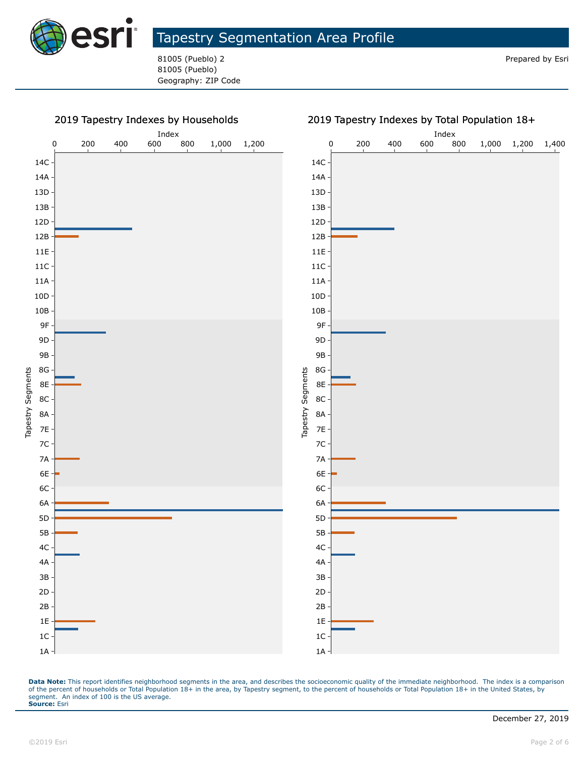

81005 (Pueblo) 2 Prepared by Esri 81005 (Pueblo) Geography: ZIP Code

#### 2019 Tapestry Indexes by Households



Data Note: This report identifies neighborhood segments in the area, and describes the socioeconomic quality of the immediate neighborhood. The index is a comparison of the percent of households or Total Population 18+ in the area, by Tapestry segment, to the percent of households or Total Population 18+ in the United States, by segment. An index of 100 is the US average. **Source:** Esri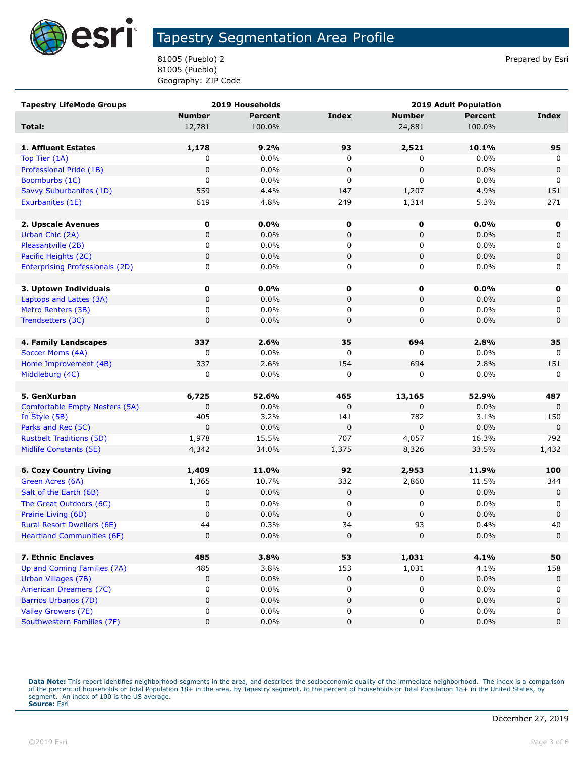

81005 (Pueblo) 2 Prepared by Esri 81005 (Pueblo) Geography: ZIP Code

| <b>Tapestry LifeMode Groups</b>                       | 2019 Households |                | <b>2019 Adult Population</b> |               |                |                    |
|-------------------------------------------------------|-----------------|----------------|------------------------------|---------------|----------------|--------------------|
|                                                       | <b>Number</b>   | <b>Percent</b> | <b>Index</b>                 | <b>Number</b> | <b>Percent</b> | Index              |
| Total:                                                | 12,781          | 100.0%         |                              | 24,881        | 100.0%         |                    |
|                                                       |                 |                |                              |               |                |                    |
| 1. Affluent Estates                                   | 1,178           | 9.2%           | 93                           | 2,521         | 10.1%          | 95                 |
| Top Tier (1A)                                         | 0               | 0.0%           | 0                            | 0             | 0.0%           | 0                  |
| Professional Pride (1B)                               | $\mathbf 0$     | 0.0%           | $\pmb{0}$                    | $\pmb{0}$     | 0.0%           | $\mathbf 0$        |
| Boomburbs (1C)                                        | 0               | 0.0%           | 0                            | 0             | 0.0%           | 0                  |
| Savvy Suburbanites (1D)                               | 559             | 4.4%           | 147                          | 1,207         | 4.9%           | 151                |
| Exurbanites (1E)                                      | 619             | 4.8%           | 249                          | 1,314         | 5.3%           | 271                |
|                                                       |                 |                |                              |               |                |                    |
| 2. Upscale Avenues                                    | 0               | $0.0\%$        | 0                            | $\mathbf 0$   | $0.0\%$        | 0                  |
| Urban Chic (2A)                                       | 0               | 0.0%           | $\pmb{0}$                    | 0             | 0.0%           | $\mathbf 0$        |
| Pleasantville (2B)                                    | 0               | 0.0%           | 0                            | 0             | $0.0\%$        | 0                  |
| Pacific Heights (2C)                                  | 0               | 0.0%           | $\pmb{0}$                    | 0             | 0.0%           | $\mathbf 0$        |
| <b>Enterprising Professionals (2D)</b>                | 0               | 0.0%           | 0                            | 0             | 0.0%           | 0                  |
|                                                       |                 |                |                              |               |                |                    |
| 3. Uptown Individuals                                 | $\mathbf 0$     | $0.0\%$        | 0                            | 0             | $0.0\%$        | 0                  |
| Laptops and Lattes (3A)                               | 0               | 0.0%           | 0                            | 0             | 0.0%           | 0                  |
| Metro Renters (3B)                                    | 0               | 0.0%           | 0                            | 0             | $0.0\%$        | 0                  |
| Trendsetters (3C)                                     | 0               | 0.0%           | 0                            | 0             | 0.0%           | $\mathbf 0$        |
|                                                       |                 |                |                              |               |                |                    |
| 4. Family Landscapes                                  | 337             | 2.6%           | 35                           | 694           | 2.8%           | 35                 |
| Soccer Moms (4A)                                      | 0               | 0.0%           | 0                            | 0             | $0.0\%$        | 0                  |
| Home Improvement (4B)                                 | 337             | 2.6%           | 154                          | 694           | 2.8%           | 151                |
| Middleburg (4C)                                       | 0               | 0.0%           | 0                            | 0             | 0.0%           | 0                  |
|                                                       |                 |                |                              |               |                |                    |
| 5. GenXurban                                          | 6,725           | 52.6%          | 465                          | 13,165        | 52.9%          | 487                |
| Comfortable Empty Nesters (5A)                        | 0<br>405        | 0.0%<br>3.2%   | $\pmb{0}$<br>141             | 0<br>782      | 0.0%<br>3.1%   | $\mathbf 0$<br>150 |
| In Style (5B)                                         | 0               | 0.0%           | $\pmb{0}$                    | 0             | 0.0%           | $\mathbf 0$        |
| Parks and Rec (5C)<br><b>Rustbelt Traditions (5D)</b> | 1,978           | 15.5%          | 707                          | 4,057         | 16.3%          | 792                |
| Midlife Constants (5E)                                | 4,342           | 34.0%          | 1,375                        | 8,326         | 33.5%          | 1,432              |
|                                                       |                 |                |                              |               |                |                    |
| <b>6. Cozy Country Living</b>                         | 1,409           | 11.0%          | 92                           | 2,953         | 11.9%          | 100                |
| Green Acres (6A)                                      | 1,365           | 10.7%          | 332                          | 2,860         | 11.5%          | 344                |
| Salt of the Earth (6B)                                | 0               | 0.0%           | $\pmb{0}$                    | 0             | 0.0%           | 0                  |
| The Great Outdoors (6C)                               | 0               | 0.0%           | 0                            | 0             | 0.0%           | 0                  |
| Prairie Living (6D)                                   | 0               | 0.0%           | $\pmb{0}$                    | 0             | 0.0%           | $\pmb{0}$          |
| Rural Resort Dwellers (6E)                            | 44              | 0.3%           | 34                           | 93            | 0.4%           | 40                 |
| <b>Heartland Communities (6F)</b>                     | 0               | 0.0%           | 0                            | $\mathbf 0$   | 0.0%           | $\mathbf 0$        |
|                                                       |                 |                |                              |               |                |                    |
| 7. Ethnic Enclaves                                    | 485             | 3.8%           | 53                           | 1,031         | 4.1%           | 50                 |
| Up and Coming Families (7A)                           | 485             | 3.8%           | 153                          | 1,031         | 4.1%           | 158                |
| Urban Villages (7B)                                   | 0               | 0.0%           | $\pmb{0}$                    | 0             | 0.0%           | 0                  |
| American Dreamers (7C)                                | 0               | 0.0%           | 0                            | 0             | 0.0%           | 0                  |
| Barrios Urbanos (7D)                                  | 0               | 0.0%           | $\pmb{0}$                    | 0             | 0.0%           | 0                  |
| Valley Growers (7E)                                   | 0               | 0.0%           | 0                            | 0             | $0.0\%$        | 0                  |
| Southwestern Families (7F)                            | 0               | $0.0\%$        | 0                            | 0             | 0.0%           | 0                  |

Data Note: This report identifies neighborhood segments in the area, and describes the socioeconomic quality of the immediate neighborhood. The index is a comparison of the percent of households or Total Population 18+ in the area, by Tapestry segment, to the percent of households or Total Population 18+ in the United States, by<br>segment. An index of 100 is the US average.<br>**Source:** Es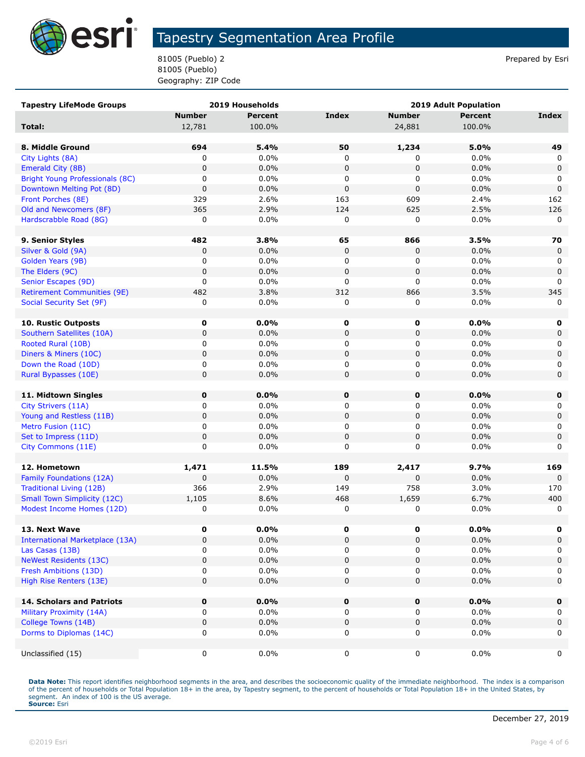

81005 (Pueblo) 2 Prepared by Esri 81005 (Pueblo) Geography: ZIP Code

| <b>Tapestry LifeMode Groups</b>        |                | 2019 Households |             | 2019 Adult Population |                |              |
|----------------------------------------|----------------|-----------------|-------------|-----------------------|----------------|--------------|
|                                        | <b>Number</b>  | <b>Percent</b>  | Index       | <b>Number</b>         | <b>Percent</b> | <b>Index</b> |
| Total:                                 | 12,781         | 100.0%          |             | 24,881                | 100.0%         |              |
|                                        |                |                 |             |                       |                |              |
| 8. Middle Ground                       | 694            | 5.4%            | 50          | 1,234                 | 5.0%           | 49           |
| City Lights (8A)                       | 0              | 0.0%            | 0           | 0                     | 0.0%           | 0            |
| Emerald City (8B)                      | $\pmb{0}$      | 0.0%            | $\mathbf 0$ | 0                     | 0.0%           | $\mathbf 0$  |
| Bright Young Professionals (8C)        | 0              | 0.0%            | 0           | 0                     | $0.0\%$        | 0            |
| Downtown Melting Pot (8D)              | $\pmb{0}$      | 0.0%            | $\pmb{0}$   | 0                     | 0.0%           | $\mathbf 0$  |
| Front Porches (8E)                     | 329            | 2.6%            | 163         | 609                   | 2.4%           | 162          |
| Old and Newcomers (8F)                 | 365            | 2.9%            | 124         | 625                   | 2.5%           | 126          |
| Hardscrabble Road (8G)                 | 0              | 0.0%            | 0           | 0                     | 0.0%           | 0            |
|                                        |                |                 |             |                       |                |              |
| 9. Senior Styles                       | 482            | 3.8%            | 65          | 866                   | 3.5%           | 70           |
| Silver & Gold (9A)                     | 0              | 0.0%            | 0           | 0                     | 0.0%           | 0            |
| Golden Years (9B)                      | 0              | 0.0%            | 0           | 0                     | 0.0%           | 0            |
| The Elders (9C)                        | $\pmb{0}$      | 0.0%            | $\pmb{0}$   | 0                     | 0.0%           | $\mathbf 0$  |
| Senior Escapes (9D)                    | 0              | 0.0%            | 0           | 0                     | $0.0\%$        | 0            |
| <b>Retirement Communities (9E)</b>     | 482            | 3.8%            | 312         | 866                   | 3.5%           | 345          |
| Social Security Set (9F)               | 0              | 0.0%            | 0           | 0                     | 0.0%           | 0            |
|                                        |                |                 |             |                       |                |              |
| <b>10. Rustic Outposts</b>             | 0              | 0.0%            | 0           | 0                     | 0.0%           | 0            |
| Southern Satellites (10A)              | 0              | 0.0%            | 0           | 0                     | 0.0%           | 0            |
| Rooted Rural (10B)                     | 0              | 0.0%            | 0           | 0                     | $0.0\%$        | 0            |
| Diners & Miners (10C)                  | $\mathbf 0$    | 0.0%            | $\mathbf 0$ | 0                     | 0.0%           | 0            |
| Down the Road (10D)                    | 0              | 0.0%            | 0           | 0                     | 0.0%           | 0            |
| Rural Bypasses (10E)                   | $\pmb{0}$      | 0.0%            | $\pmb{0}$   | 0                     | 0.0%           | $\mathbf 0$  |
|                                        |                |                 |             |                       |                |              |
| 11. Midtown Singles                    | 0              | 0.0%            | $\mathbf 0$ | $\mathbf 0$           | 0.0%           | 0            |
| City Strivers (11A)                    | 0              | 0.0%            | 0           | 0                     | 0.0%           | 0            |
| Young and Restless (11B)               | 0              | 0.0%            | $\mathbf 0$ | 0                     | 0.0%           | $\mathbf 0$  |
| Metro Fusion (11C)                     | 0              | 0.0%            | 0           | 0                     | $0.0\%$        | 0            |
| Set to Impress (11D)                   | 0              | 0.0%            | $\mathbf 0$ | 0                     | 0.0%           | 0            |
| City Commons (11E)                     | 0              | 0.0%            | 0           | 0                     | $0.0\%$        | 0            |
|                                        |                |                 |             |                       |                |              |
| 12. Hometown                           | 1,471          | 11.5%           | 189         | 2,417                 | 9.7%           | 169          |
| Family Foundations (12A)               | 0              | 0.0%            | $\pmb{0}$   | $\mathbf 0$           | 0.0%           | $\Omega$     |
| <b>Traditional Living (12B)</b>        | 366            | 2.9%            | 149         | 758                   | 3.0%           | 170          |
| <b>Small Town Simplicity (12C)</b>     | 1,105          | 8.6%            | 468         | 1,659                 | 6.7%           | 400          |
| Modest Income Homes (12D)              | 0              | 0.0%            | 0           | 0                     | 0.0%           | 0            |
|                                        |                |                 |             |                       |                |              |
| 13. Next Wave                          | 0              | 0.0%            | 0           | 0                     | 0.0%           | 0            |
| <b>International Marketplace (13A)</b> | 0              | 0.0%            | $\mathbf 0$ | 0                     | 0.0%           | 0            |
| Las Casas (13B)                        | 0              | 0.0%            | 0           | 0                     | 0.0%           | 0            |
| <b>NeWest Residents (13C)</b>          | $\mathbf 0$    | 0.0%            | $\pmb{0}$   | 0                     | 0.0%           | 0            |
| Fresh Ambitions (13D)                  | 0              | 0.0%            | 0           | 0                     | 0.0%           | 0            |
| High Rise Renters (13E)                | $\mathbf 0$    | 0.0%            | 0           | $\pmb{0}$             | 0.0%           | $\mathbf 0$  |
|                                        |                |                 |             |                       |                |              |
| <b>14. Scholars and Patriots</b>       | 0              | 0.0%            | $\pmb{0}$   | $\pmb{0}$             | 0.0%           | $\mathbf 0$  |
| Military Proximity (14A)               | 0              | 0.0%            | 0           | 0                     | $0.0\%$        | 0            |
| College Towns (14B)                    | $\pmb{0}$<br>0 | 0.0%            | $\pmb{0}$   | 0                     | 0.0%           | $\mathbf 0$  |
| Dorms to Diplomas (14C)                |                | 0.0%            | 0           | 0                     | 0.0%           | 0            |
| Unclassified (15)                      |                | 0.0%            |             |                       | $0.0\%$        | 0            |
|                                        | 0              |                 | 0           | 0                     |                |              |

Data Note: This report identifies neighborhood segments in the area, and describes the socioeconomic quality of the immediate neighborhood. The index is a comparison of the percent of households or Total Population 18+ in the area, by Tapestry segment, to the percent of households or Total Population 18+ in the United States, by<br>segment. An index of 100 is the US average.<br>**Source:** Es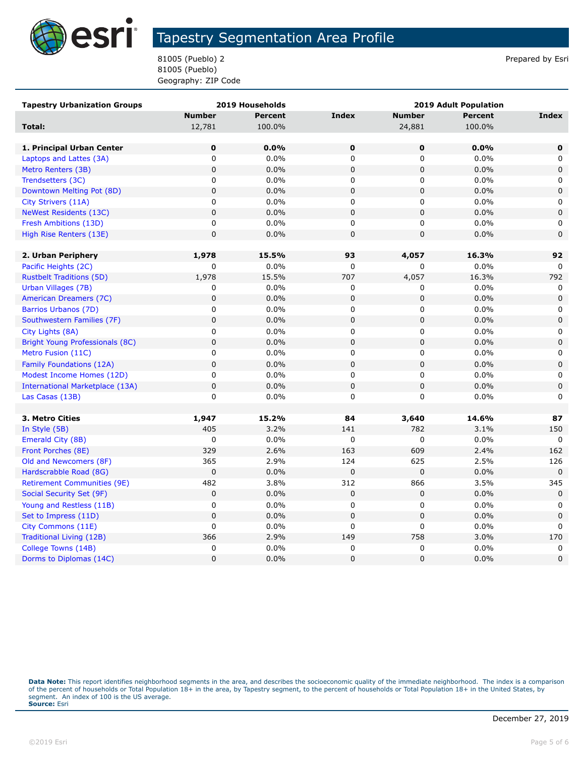

81005 (Pueblo) 2 Prepared by Esri 81005 (Pueblo) Geography: ZIP Code

| <b>Tapestry Urbanization Groups</b> |                | 2019 Households | 2019 Adult Population |               |                |              |
|-------------------------------------|----------------|-----------------|-----------------------|---------------|----------------|--------------|
|                                     | <b>Number</b>  | <b>Percent</b>  | <b>Index</b>          | <b>Number</b> | <b>Percent</b> | Index        |
| Total:                              | 12,781         | 100.0%          |                       | 24,881        | 100.0%         |              |
|                                     |                |                 |                       |               |                |              |
| 1. Principal Urban Center           | $\pmb{0}$      | 0.0%            | $\mathbf 0$           | 0             | 0.0%           | $\mathbf 0$  |
| Laptops and Lattes (3A)             | $\mathsf 0$    | 0.0%            | $\mathbf 0$           | 0             | 0.0%           | 0            |
| Metro Renters (3B)                  | $\mathbf 0$    | 0.0%            | $\mathbf 0$           | $\mathbf 0$   | 0.0%           | $\mathbf 0$  |
| Trendsetters (3C)                   | 0              | 0.0%            | 0                     | 0             | 0.0%           | 0            |
| Downtown Melting Pot (8D)           | $\pmb{0}$      | 0.0%            | $\mathbf 0$           | 0             | 0.0%           | $\mathbf 0$  |
| City Strivers (11A)                 | $\mathsf 0$    | 0.0%            | $\mathbf 0$           | 0             | 0.0%           | 0            |
| <b>NeWest Residents (13C)</b>       | $\mathbf 0$    | 0.0%            | $\mathbf 0$           | 0             | 0.0%           | $\mathbf 0$  |
| Fresh Ambitions (13D)               | 0              | 0.0%            | 0                     | 0             | 0.0%           | 0            |
| High Rise Renters (13E)             | $\mathsf 0$    | 0.0%            | $\pmb{0}$             | 0             | 0.0%           | $\mathbf 0$  |
|                                     |                |                 |                       |               |                |              |
| 2. Urban Periphery                  | 1,978          | 15.5%           | 93                    | 4,057         | 16.3%          | 92           |
| Pacific Heights (2C)                | 0              | $0.0\%$         | 0                     | 0             | 0.0%           | $\Omega$     |
| <b>Rustbelt Traditions (5D)</b>     | 1,978          | 15.5%           | 707                   | 4,057         | 16.3%          | 792          |
| Urban Villages (7B)                 | 0              | 0.0%            | 0                     | 0             | 0.0%           | $\mathbf 0$  |
| American Dreamers (7C)              | 0              | 0.0%            | $\mathbf 0$           | $\pmb{0}$     | 0.0%           | $\mathbf 0$  |
| Barrios Urbanos (7D)                | 0              | $0.0\%$         | 0                     | 0             | 0.0%           | 0            |
| Southwestern Families (7F)          | $\mathbf 0$    | 0.0%            | $\overline{0}$        | $\mathbf 0$   | 0.0%           | 0            |
| City Lights (8A)                    | 0              | 0.0%            | 0                     | 0             | 0.0%           | 0            |
| Bright Young Professionals (8C)     | 0              | 0.0%            | $\mathbf 0$           | 0             | 0.0%           | $\mathbf 0$  |
| Metro Fusion (11C)                  | 0              | 0.0%            | 0                     | 0             | 0.0%           | $\mathbf 0$  |
| Family Foundations (12A)            | $\mathsf 0$    | 0.0%            | $\pmb{0}$             | 0             | 0.0%           | $\mathbf 0$  |
| Modest Income Homes (12D)           | 0              | 0.0%            | 0                     | 0             | 0.0%           | 0            |
| International Marketplace (13A)     | $\mathbf 0$    | 0.0%            | $\mathbf 0$           | 0             | 0.0%           | $\mathbf 0$  |
| Las Casas (13B)                     | 0              | 0.0%            | 0                     | $\mathbf 0$   | 0.0%           | $\mathbf 0$  |
|                                     |                |                 |                       |               |                |              |
| 3. Metro Cities                     | 1,947          | 15.2%           | 84                    | 3,640         | 14.6%          | 87           |
| In Style (5B)                       | 405            | 3.2%            | 141                   | 782           | 3.1%           | 150          |
| Emerald City (8B)                   | 0              | $0.0\%$         | $\pmb{0}$             | 0             | 0.0%           | 0            |
| Front Porches (8E)                  | 329            | 2.6%            | 163                   | 609           | 2.4%           | 162          |
| Old and Newcomers (8F)              | 365            | 2.9%            | 124                   | 625           | 2.5%           | 126          |
| Hardscrabble Road (8G)              | $\mathbf 0$    | 0.0%            | $\mathbf 0$           | 0             | 0.0%           | 0            |
| <b>Retirement Communities (9E)</b>  | 482            | 3.8%            | 312                   | 866           | 3.5%           | 345          |
| Social Security Set (9F)            | $\pmb{0}$      | 0.0%            | $\pmb{0}$             | $\pmb{0}$     | 0.0%           | $\mathbf 0$  |
| Young and Restless (11B)            | 0              | 0.0%            | 0                     | 0             | 0.0%           | 0            |
| Set to Impress (11D)                | $\mathbf{0}$   | 0.0%            | $\mathbf 0$           | 0             | 0.0%           | $\mathbf 0$  |
| City Commons (11E)                  | 0              | $0.0\%$         | 0                     | 0             | 0.0%           | $\mathbf{0}$ |
| Traditional Living (12B)            | 366            | 2.9%            | 149                   | 758           | 3.0%           | 170          |
| College Towns (14B)                 | 0              | 0.0%            | 0                     | 0             | 0.0%           | 0            |
| Dorms to Diplomas (14C)             | $\overline{0}$ | 0.0%            | $\overline{0}$        | 0             | 0.0%           | $\mathbf{0}$ |

Data Note: This report identifies neighborhood segments in the area, and describes the socioeconomic quality of the immediate neighborhood. The index is a comparison of the percent of households or Total Population 18+ in the area, by Tapestry segment, to the percent of households or Total Population 18+ in the United States, by<br>segment. An index of 100 is the US average.<br>**Source:** Es